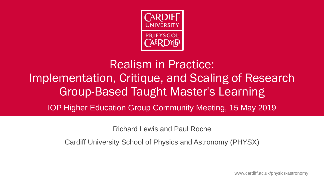

# Realism in Practice: Implementation, Critique, and Scaling of Research Group-Based Taught Master's Learning IOP Higher Education Group Community Meeting, 15 May 2019

Richard Lewis and Paul Roche

Cardiff University School of Physics and Astronomy (PHYSX)

www.cardiff.ac.uk/physics-astronomy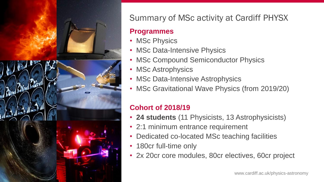

## Summary of MSc activity at Cardiff PHYSX

### **Programmes**

- MSc Physics
- MSc Data-Intensive Physics
- MSc Compound Semiconductor Physics
- MSc Astrophysics
- MSc Data-Intensive Astrophysics
- MSc Gravitational Wave Physics (from 2019/20)

## **Cohort of 2018/19**

- **24 students** (11 Physicists, 13 Astrophysicists)
- 2:1 minimum entrance requirement
- Dedicated co-located MSc teaching facilities
- 180cr full-time only
- 2x 20cr core modules, 80cr electives, 60cr project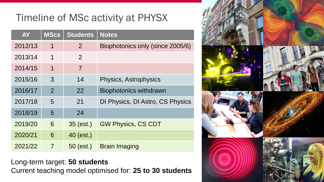# Timeline of MSc activity at PHYSX

| <b>AY</b> | <b>MScs</b>    | <b>Students</b> | <b>Notes</b>                     |
|-----------|----------------|-----------------|----------------------------------|
| 2012/13   | $\mathbf 1$    | 2               | Biophotonics only (since 2005/6) |
| 2013/14   | 1              | 2               |                                  |
| 2014/15   | 1              | $\overline{7}$  |                                  |
| 2015/16   | 3              | 14              | Physics, Astrophysics            |
| 2016/17   | $\overline{2}$ | 22              | <b>Biophotonics withdrawn</b>    |
| 2017/18   | 5              | 21              | DI Physics, DI Astro, CS Physics |
| 2018/19   | 5              | 24              |                                  |
| 2019/20   | 6              | $35$ (est.)     | <b>GW Physics, CS CDT</b>        |
| 2020/21   | 6              | 40 (est.)       |                                  |
| 2021/22   | $\overline{7}$ | $50$ (est.)     | <b>Brain Imaging</b>             |

Long-term target: **50 students** Current teaching model optimised for: **25 to 30 students**

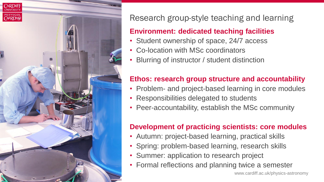

## Research group-style teaching and learning

### **Environment: dedicated teaching facilities**

- Student ownership of space, 24/7 access
- Co-location with MSc coordinators
- Blurring of instructor / student distinction

### **Ethos: research group structure and accountability**

- Problem- and project-based learning in core modules
- Responsibilities delegated to students
- Peer-accountability, establish the MSc community

## **Development of practicing scientists: core modules**

- Autumn: project-based learning, practical skills
- Spring: problem-based learning, research skills
- Summer: application to research project
- Formal reflections and planning twice a semester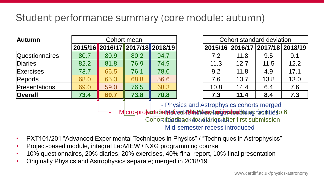## Student performance summary (core module: autumn)

| <b>Autumn</b>         | Cohort mean                                                                                                                                                                                                                           |      |                                 |      |  |      | Cohort standard deviation |                                 |      |
|-----------------------|---------------------------------------------------------------------------------------------------------------------------------------------------------------------------------------------------------------------------------------|------|---------------------------------|------|--|------|---------------------------|---------------------------------|------|
|                       |                                                                                                                                                                                                                                       |      | 2015/16 2016/17 2017/18 2018/19 |      |  |      |                           | 2015/16 2016/17 2017/18 2018/19 |      |
| <b>Questionnaires</b> | 80.7                                                                                                                                                                                                                                  | 80.9 | 80.2                            | 94.7 |  | 7.2  | 11.8                      | 9.5                             | 9.1  |
| Diaries               | 82.2                                                                                                                                                                                                                                  | 81.8 | 76.9                            | 74.9 |  | 11.3 | 12.7                      | 11.5                            | 12.2 |
| Exercises             | 73.7                                                                                                                                                                                                                                  | 66.5 | 76.1                            | 78.0 |  | 9.2  | 11.8                      | 4.9                             | 17.1 |
| <b>Reports</b>        | 68.0                                                                                                                                                                                                                                  | 65.3 | 68.8                            | 56.6 |  | 7.6  | 13.7                      | 13.8                            | 13.0 |
| Presentations         | 69.0                                                                                                                                                                                                                                  | 59.0 | 76.5                            | 68.3 |  | 10.8 | 14.4                      | 6.4                             | 7.6  |
| <b>Overall</b>        | 73.4                                                                                                                                                                                                                                  | 69.7 | 73.8                            | 70.8 |  | 7.3  | 11.4                      | 8.4                             | 7.3  |
|                       | - Physics and Astrophysics cohorts merged                                                                                                                                                                                             |      |                                 |      |  |      |                           |                                 |      |
|                       | Micro-pro <b>relatistializative at a trial exploration of the contract of the contract of contract of the contract of the contract of contract of contract of contract of contract of the contract of contract of the contract of</b> |      |                                 |      |  |      |                           |                                 |      |
|                       | Cohort Diadbackada darigsaatser first submission                                                                                                                                                                                      |      |                                 |      |  |      |                           |                                 |      |

- Mid-semester recess introduced

- PXT101/201 "Advanced Experimental Techniques in Physics" / "Techniques in Astrophysics"
- Project-based module, integral LabVIEW / NXG programming course
- 10% questionnaires, 20% diaries, 20% exercises, 40% final report, 10% final presentation
- Originally Physics and Astrophysics separate; merged in 2018/19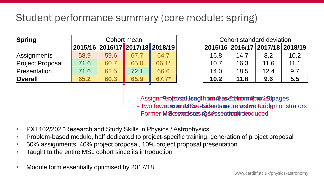# Student performance summary (core module: spring)

| <b>Spring</b>           |      |      | Cohort mean                     |         |      |      | Cohort standard deviation     |      |
|-------------------------|------|------|---------------------------------|---------|------|------|-------------------------------|------|
|                         |      |      | 2015/16 2016/17 2017/18 2018/19 |         |      |      | 2015/16 2016/17 2017/18 2018/ |      |
| Assignments             | 58.9 | 59.6 | 67.7                            | 64.7    | 16.8 | 14.7 | 8.2                           | 10.2 |
| <b>Project Proposal</b> | 71.6 | 60.7 | 65.0                            | 66.1*   | 10.7 | 16.3 | 11.6                          | 11.1 |
| Presentation            | 71.6 | 62.5 | 72.1                            | 66.6    | 14.0 | 18.5 | 12.4                          | 9.7  |
| <b>Overall</b>          | 65.2 | 60.3 | 65.9                            | $67.7*$ | 10.2 | 11.8 | 9.6                           | 5.5  |

|      |      | Cohort mean |                                 |      |      | Cohort standard deviation       |      |
|------|------|-------------|---------------------------------|------|------|---------------------------------|------|
|      |      |             | 2015/16 2016/17 2017/18 2018/19 |      |      | 2015/16 2016/17 2017/18 2018/19 |      |
| 58.9 | 59.6 |             | 64.7                            | 16.8 | 14.7 | 8.2                             | 10.2 |
| 71.6 | 60.7 | 65.0        | 66.1*                           | 10.7 | 16.3 | 11.6                            | 11.1 |
| 71.6 | 62.5 | 72.1        | 66.6                            | 14.0 | 18.5 | 12.4                            | 9.7  |
| 65.2 | 60.3 | 65.9        | $67.7*$                         | 10.2 | 11.8 | 9.6                             | 5.5  |

- Assignment porsead ulce egt from a relate sected modern aptroxication ages

- Two<del>lfew Formo contacts as assigned under the active as identicators and the form</del>
- Former Midesstundentes @&essention introduced
- PXT102/202 "Research and Study Skills in Physics / Astrophysics"
- Problem-based module, half dedicated to project-specific training, generation of project proposal
- 50% assignments, 40% project proposal, 10% project proposal presentation
- Taught to the entire MSc cohort since its introduction
- Module form essentially optimised by 2017/18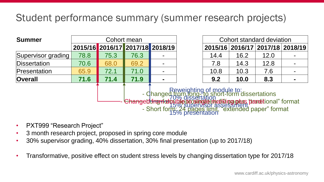## Student performance summary (summer research projects)

| <b>Summer</b>      |                                                                                                                                                                                                                                               |                                 | Cohort mean |  |  |         | Cohort standard deviation |      |                         |
|--------------------|-----------------------------------------------------------------------------------------------------------------------------------------------------------------------------------------------------------------------------------------------|---------------------------------|-------------|--|--|---------|---------------------------|------|-------------------------|
|                    |                                                                                                                                                                                                                                               | 2015/16 2016/17 2017/18 2018/19 |             |  |  | 2015/16 |                           |      | 2016/17 2017/18 2018/19 |
| Supervisor grading | 78.8                                                                                                                                                                                                                                          | 75.3                            | 76.3        |  |  | 14.4    | 16.2                      | 12.0 |                         |
| Dissertation       | 70.6                                                                                                                                                                                                                                          | 68.0                            | 69.2        |  |  | 7.8     | 14.3                      | 12.8 |                         |
| Presentation       | 65.9                                                                                                                                                                                                                                          | 72.1                            | 71.0        |  |  | 10.8    | 10.3                      | 7.6  |                         |
| <b>Overall</b>     | 71.6                                                                                                                                                                                                                                          | 71.4                            | 71.9        |  |  | 9.2     | 10.0                      | 8.3  |                         |
|                    | Reweighting of module to:<br>- Changed from fong-to short-form dissertations<br>- Changed from dissertation<br>- Short form: 24 pages limit, "extended paper" format<br>- Short form: 24 pages limit, "extended paper" format<br>- 15% presen |                                 |             |  |  |         |                           |      |                         |

- PXT999 "Research Project"
- 3 month research project, proposed in spring core module
- 30% supervisor grading, 40% dissertation, 30% final presentation (up to 2017/18)
- Transformative, positive effect on student stress levels by changing dissertation type for 2017/18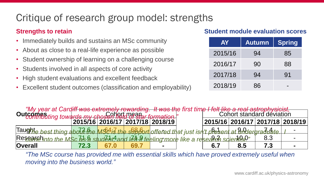# Critique of research group model: strengths

#### **Strengths to retain**

- Immediately builds and sustains an MSc community
- About as close to a real-life experience as possible
- Student ownership of learning on a challenging course
- Students involved in all aspects of core activity
- High student evaluations and excellent feedback
- Excellent student outcomes (classification and employability)

#### **Student module evaluation scores**

| <b>AY</b> | <b>Autumn</b> | <b>Spring</b> |
|-----------|---------------|---------------|
| 2015/16   | 94            | 85            |
| 2016/17   | 90            | 88            |
| 2017/18   | 94            | .91           |
| 2018/19   | 86            |               |

| "My year at Cardiff was extremely rewarding. It was the first time I felt like a real astrophysicist, "<br>Itcomes time to wards my cho Cohort mean r formation "Cohort standard deviation"<br>Outcompeting towards my chosen held of star formation." |      |  |                                 |  |  |  |     |                                 |  |  |
|--------------------------------------------------------------------------------------------------------------------------------------------------------------------------------------------------------------------------------------------------------|------|--|---------------------------------|--|--|--|-----|---------------------------------|--|--|
|                                                                                                                                                                                                                                                        |      |  | 2015/16 2016/17 2017/18 2018/19 |  |  |  |     | 2015/16 2016/17 2017/18 2018/19 |  |  |
| Taughte best thing abold the MS <sup>4</sup> is the support offered that just isn't plesent at undergraduate. I                                                                                                                                        |      |  |                                 |  |  |  |     |                                 |  |  |
| Researchinto the MSc 45 & student and Let 8 feeling more like a research sqient BP"                                                                                                                                                                    |      |  |                                 |  |  |  |     | 8.3                             |  |  |
| <b>Overall</b>                                                                                                                                                                                                                                         | 72.3 |  |                                 |  |  |  | 8.5 |                                 |  |  |

*"The MSc course has provided me with essential skills which have proved extremely useful when moving into the business world."*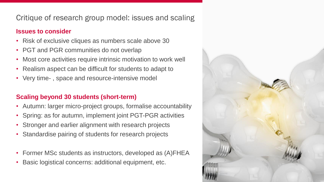#### Critique of research group model: issues and scaling

#### **Issues to consider**

- Risk of exclusive cliques as numbers scale above 30
- PGT and PGR communities do not overlap
- Most core activities require intrinsic motivation to work well
- Realism aspect can be difficult for students to adapt to
- Very time- , space and resource-intensive model

#### **Scaling beyond 30 students (short-term)**

- Autumn: larger micro-project groups, formalise accountability
- Spring: as for autumn, implement joint PGT-PGR activities
- Stronger and earlier alignment with research projects
- Standardise pairing of students for research projects
- Former MSc students as instructors, developed as (A)FHEA
- Basic logistical concerns: additional equipment, etc.

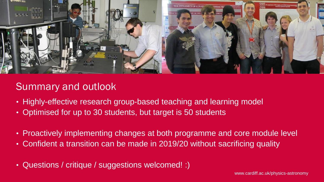

## Summary and outlook

- Highly-effective research group-based teaching and learning model
- Optimised for up to 30 students, but target is 50 students
- Proactively implementing changes at both programme and core module level
- Confident a transition can be made in 2019/20 without sacrificing quality
- Questions / critique / suggestions welcomed! :)